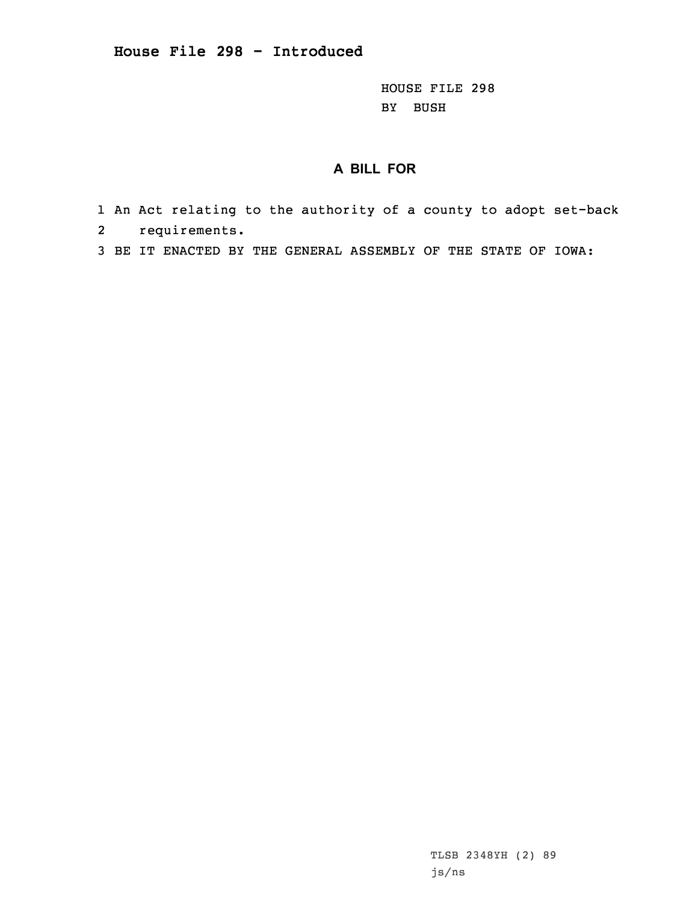HOUSE FILE 298 BY BUSH

## **A BILL FOR**

- 1 An Act relating to the authority of <sup>a</sup> county to adopt set-back 2requirements.
- 3 BE IT ENACTED BY THE GENERAL ASSEMBLY OF THE STATE OF IOWA:

TLSB 2348YH (2) 89 js/ns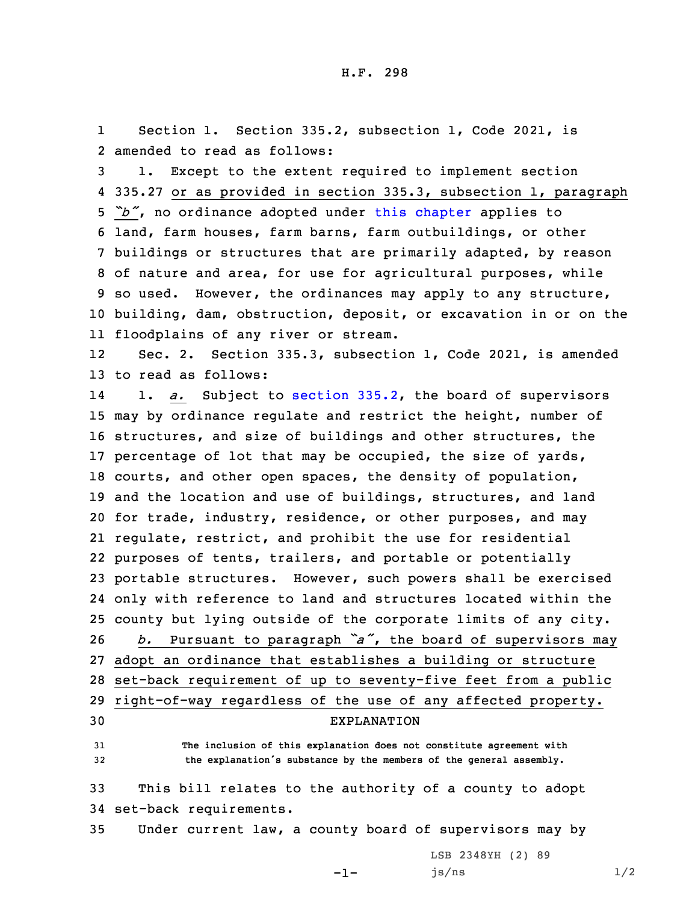1 Section 1. Section 335.2, subsection 1, Code 2021, is 2 amended to read as follows:

 1. Except to the extent required to implement section 335.27 or as provided in section 335.3, subsection 1, paragraph *"b"*, no ordinance adopted under this [chapter](https://www.legis.iowa.gov/docs/code/2021/335.pdf) applies to land, farm houses, farm barns, farm outbuildings, or other buildings or structures that are primarily adapted, by reason of nature and area, for use for agricultural purposes, while so used. However, the ordinances may apply to any structure, building, dam, obstruction, deposit, or excavation in or on the floodplains of any river or stream.

12 Sec. 2. Section 335.3, subsection 1, Code 2021, is amended 13 to read as follows:

14 1. *a.* Subject to [section](https://www.legis.iowa.gov/docs/code/2021/335.2.pdf) 335.2, the board of supervisors may by ordinance regulate and restrict the height, number of structures, and size of buildings and other structures, the percentage of lot that may be occupied, the size of yards, courts, and other open spaces, the density of population, 19 and the location and use of buildings, structures, and land for trade, industry, residence, or other purposes, and may regulate, restrict, and prohibit the use for residential purposes of tents, trailers, and portable or potentially portable structures. However, such powers shall be exercised only with reference to land and structures located within the county but lying outside of the corporate limits of any city. *b.* Pursuant to paragraph *"a"*, the board of supervisors may adopt an ordinance that establishes <sup>a</sup> building or structure set-back requirement of up to seventy-five feet from <sup>a</sup> public right-of-way regardless of the use of any affected property. EXPLANATION

31 **The inclusion of this explanation does not constitute agreement with** <sup>32</sup> **the explanation's substance by the members of the general assembly.**

33 This bill relates to the authority of <sup>a</sup> county to adopt 34 set-back requirements.

35 Under current law, <sup>a</sup> county board of supervisors may by

-1-

LSB 2348YH (2) 89  $js/ns$   $1/2$